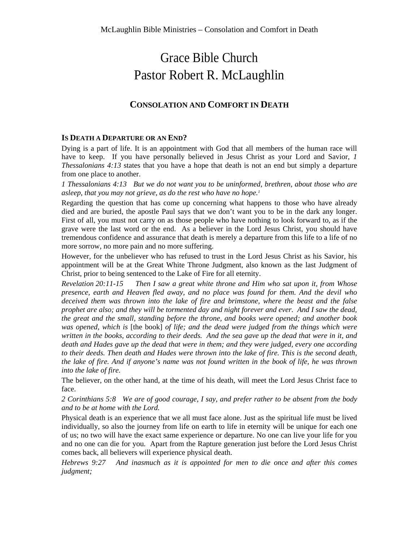# Grace Bible Church Pastor Robert R. McLaughlin

# **CONSOLATION AND COMFORT IN DEATH**

## **IS DEATH A DEPARTURE OR AN END?**

Dying is a part of life. It is an appointment with God that all members of the human race will have to keep. If you have personally believed in Jesus Christ as your Lord and Savior, *1 Thessalonians 4:13* states that you have a hope that death is not an end but simply a departure from one place to another.

*1 Thessalonians 4:13 But we do not want you to be uninformed, brethren, about those who are asleep, that you may not grieve, as do the rest who have no hope.1*

Regarding the question that has come up concerning what happens to those who have already died and are buried, the apostle Paul says that we don't want you to be in the dark any longer. First of all, you must not carry on as those people who have nothing to look forward to, as if the grave were the last word or the end. As a believer in the Lord Jesus Christ, you should have tremendous confidence and assurance that death is merely a departure from this life to a life of no more sorrow, no more pain and no more suffering.

However, for the unbeliever who has refused to trust in the Lord Jesus Christ as his Savior, his appointment will be at the Great White Throne Judgment, also known as the last Judgment of Christ, prior to being sentenced to the Lake of Fire for all eternity.

*Revelation 20:11-15 Then I saw a great white throne and Him who sat upon it, from Whose presence, earth and Heaven fled away, and no place was found for them. And the devil who deceived them was thrown into the lake of fire and brimstone, where the beast and the false prophet are also; and they will be tormented day and night forever and ever. And I saw the dead, the great and the small, standing before the throne, and books were opened; and another book was opened, which is* [the book] *of life; and the dead were judged from the things which were* written in the books, according to their deeds. And the sea gave up the dead that were in it, and *death and Hades gave up the dead that were in them; and they were judged, every one according* to their deeds. Then death and Hades were thrown into the lake of fire. This is the second death, the lake of fire. And if anyone's name was not found written in the book of life, he was thrown *into the lake of fire.*

The believer, on the other hand, at the time of his death, will meet the Lord Jesus Christ face to face.

2 Corinthians 5:8 We are of good courage, I say, and prefer rather to be absent from the body *and to be at home with the Lord.* 

Physical death is an experience that we all must face alone. Just as the spiritual life must be lived individually, so also the journey from life on earth to life in eternity will be unique for each one of us; no two will have the exact same experience or departure. No one can live your life for you and no one can die for you. Apart from the Rapture generation just before the Lord Jesus Christ comes back, all believers will experience physical death.

*Hebrews 9:27 And inasmuch as it is appointed for men to die once and after this comes judgment;*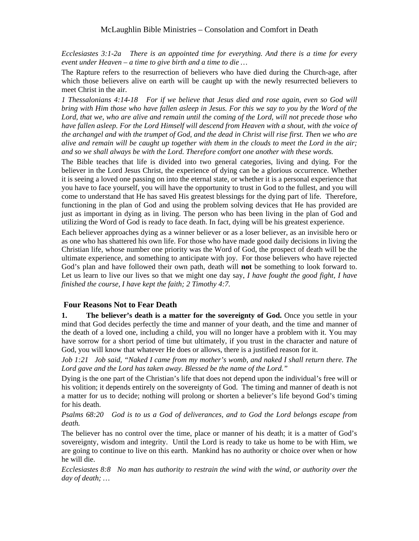*Ecclesiastes 3:1-2a There is an appointed time for everything. And there is a time for every event under Heaven – a time to give birth and a time to die …*

The Rapture refers to the resurrection of believers who have died during the Church-age, after which those believers alive on earth will be caught up with the newly resurrected believers to meet Christ in the air.

*1 Thessalonians 4:14-18 For if we believe that Jesus died and rose again, even so God will*  bring with Him those who have fallen asleep in Jesus. For this we say to you by the Word of the Lord, that we, who are alive and remain until the coming of the Lord, will not precede those who have fallen asleep. For the Lord Himself will descend from Heaven with a shout, with the voice of *the archangel and with the trumpet of God, and the dead in Christ will rise first. Then we who are*  alive and remain will be caught up together with them in the clouds to meet the Lord in the air; *and so we shall always be with the Lord. Therefore comfort one another with these words.*

The Bible teaches that life is divided into two general categories, living and dying. For the believer in the Lord Jesus Christ, the experience of dying can be a glorious occurrence. Whether it is seeing a loved one passing on into the eternal state, or whether it is a personal experience that you have to face yourself, you will have the opportunity to trust in God to the fullest, and you will come to understand that He has saved His greatest blessings for the dying part of life. Therefore, functioning in the plan of God and using the problem solving devices that He has provided are just as important in dying as in living. The person who has been living in the plan of God and utilizing the Word of God is ready to face death. In fact, dying will be his greatest experience.

Each believer approaches dying as a winner believer or as a loser believer, as an invisible hero or as one who has shattered his own life. For those who have made good daily decisions in living the Christian life, whose number one priority wasthe Word of God, the prospect of death will be the ultimate experience, and something to anticipate with joy. For those believers who have rejected God's plan and have followed their own path, death will **not** be something to look forward to. Let us learn to live our lives so that we might one day say, *I have fought the good fight, I have finished the course, I have kept the faith; 2 Timothy 4:7.*

## **Four Reasons Not to Fear Death**

**1. The believer's death is a matter for the sovereignty of God.** Once you settle in your mind that God decides perfectly the time and manner of your death, and the time and manner of the death of a loved one, including a child, you will no longer have a problem with it. You may have sorrow for a short period of time but ultimately, if you trust in the character and nature of God, you will know that whatever He does or allows, there is a justified reason for it.

*Job 1:21 Job said, "Naked I came from my mother's womb, and naked I shall return there. The Lord gave and the Lord has taken away. Blessed be the name of the Lord."*

Dying is the one part of the Christian's life that does not depend upon the individual's free will or his volition; it depends entirely on the sovereignty of God. The timing and manner of death is not a matter for us to decide; nothing will prolong or shorten a believer's life beyond God's timing for his death.

*Psalms 68:20 God is to us a God of deliverances, and to God the Lord belongs escape from death.*

The believer has no control over the time, place or manner of his death; it is a matter of God's sovereignty, wisdom and integrity. Until the Lord is ready to take us home to be with Him, we are going to continue to live on this earth. Mankind has no authority or choice over when or how he will die.

*Ecclesiastes 8:8 No man has authority to restrain the wind with the wind, or authority over the day of death; …*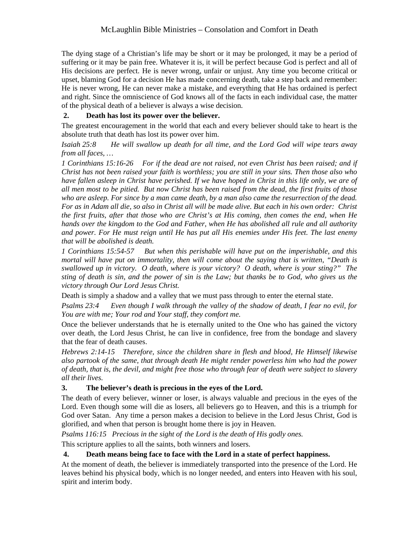The dying stage of a Christian's life may be short or it may be prolonged, it may be a period of suffering or it may be pain free. Whatever it is, it will be perfect because God is perfect and all of His decisions are perfect. He is never wrong, unfair or unjust. Any time you become critical or upset, blaming God for a decision He has made concerning death, take a step back and remember: He is never wrong, He can never make a mistake, and everything that He hasordained is perfect and right. Since the omniscience of God knows all of the facts in each individual case, the matter of the physical death of a believer is always a wise decision.

# **2. Death has lost its power over the believer.**

The greatest encouragement in the world that each and every believer should take to heart is the absolute truth that death has lost its power over him.

*Isaiah 25:8 He will swallow up death for all time, and the Lord God will wipe tears away from all faces, …*

*1 Corinthians 15:16-26 For if the dead are not raised, not even Christ has been raised; and if* Christ has not been raised your faith is worthless; you are still in your sins. Then those also who have fallen asleep in Christ have perished. If we have hoped in Christ in this life only, we are of all men most to be pitied. But now Christ has been raised from the dead, the first fruits of those *who are asleep. For since by a man came death, by a man also came the resurrection of the dead. For as in Adam all die, so also in Christ all will be made alive. But each in his own order: Christ the first fruits, after that those who are Christ's at His coming, then comes the end, when He hands over the kingdom to the God and Father, when He has abolished all rule and all authority* and power. For He must reign until He has put all His enemies under His feet. The last enemy *that will be abolished is death.*

*1 Corinthians 15:54-57 But when this perishable will have put on the imperishable, and this mortal will have put on immortality, then will come about the saying that is written, "Death is swallowed up in victory. O death, where is your victory? O death, where is your sting?" The* sting of death is sin, and the power of sin is the Law; but thanks be to God, who gives us the *victory through Our Lord Jesus Christ.*

Death is simply a shadow and a valley that we must pass through to enter the eternal state.

*Psalms 23:4 Even though I walk through the valley of the shadow of death, I fear no evil, for You are with me; Your rod and Your staff, they comfort me.*

Once the believer understands that he is eternally united to the One who has gained the victory over death, the Lord Jesus Christ, he can live in confidence, free from the bondage and slavery that the fear of death causes.

*Hebrews 2:14-15 Therefore, since the children share in flesh and blood, He Himself likewise also partook of the same, that through death He might render powerless him who had the power* of death, that is, the devil, and might free those who through fear of death were subject to slavery *all their lives.*

# **3. The believer's death is precious in the eyes of the Lord.**

The death of every believer, winner or loser, is always valuable and precious in the eyes of the Lord. Even though some will die as losers, all believers go to Heaven, and this is a triumph for God over Satan. Any time a person makes a decision to believe in the Lord Jesus Christ, God is glorified, and when that person is brought home there is joy in Heaven.

*Psalms 116:15 Precious in the sight of the Lord is the death of His godly ones.*

This scripture applies to all the saints, both winners and losers.

# **4. Death means being face to face with the Lord in a state of perfect happiness.**

At the moment of death, the believer is immediately transported into the presence of the Lord. He leaves behind his physical body, which is no longer needed, and enters into Heaven with his soul, spirit and interim body.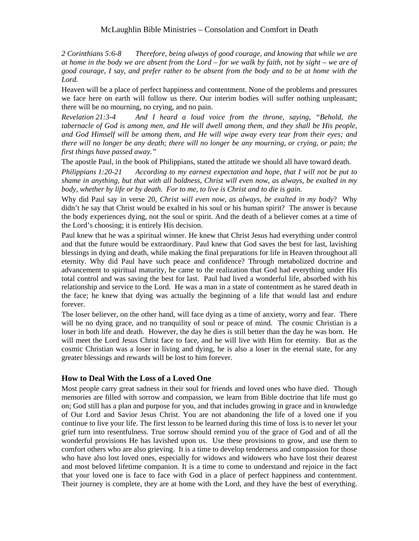*2 Corinthians 5:6-8 Therefore, being always of good courage, and knowing that while we are* at home in the body we are absent from the Lord – for we walk by faith, not by sight – we are of *good courage, I say, and prefer rather to be absent from the bodyand to be at home with the Lord.*

Heaven will be a place of perfect happiness and contentment. None of the problems and pressures we face here on earth will follow us there. Our interim bodies will suffer nothing unpleasant; there will be no mourning, no crying, and no pain.

*Revelation 21:3-4 And I heard a loud voice from the throne, saying, "Behold, the tabernacle of God is among men, and He will dwell among them, and they shall be His people, and God Himself will be among them, and He will wipe away every tear from their eyes; and* there will no longer be any death; there will no longer be any mourning, or crying, or pain; the *first things have passed away."*

The apostle Paul, in the book of Philippians, stated the attitude we should all have toward death.

*Philippians 1:20-21 According to my earnest expectation and hope, that I will not be put to shame in anything, but that with all boldness, Christ will even now, as always, be exalted in my body, whether by life or by death. For to me, to live is Christ and to die is gain.*

Why did Paul say in verse 20, *Christ will even now, as always, be exalted in my body*? Why didn't he say that Christ would be exalted in his soul or his human spirit? The answer is because the body experiences dying, not the soul or spirit. And the death of a believer comes at a time of the Lord's choosing; it is entirely His decision.

Paul knew that he was a spiritual winner. He knew that Christ Jesus had everything under control and that the future would be extraordinary. Paul knew that God saves the best for last, lavishing blessings in dying and death, while making the final preparations for life in Heaven throughout all eternity. Why did Paul have such peace and confidence? Through metabolized doctrine and advancement to spiritual maturity, he came to the realization that God had everything under His total control and was saving the best for last. Paul had lived a wonderful life, absorbed with his relationship and service to the Lord. He was a man in a state of contentment as he stared death in the face; he knew that dying was actually the beginning of a life that would last and endure forever.

The loser believer, on the other hand, will face dying as a time of anxiety, worry and fear. There will be no dying grace, and no tranquility of soul or peace of mind. The cosmic Christian is a loser in both life and death. However, the day he dies is still better than the day he was born. He will meet the Lord Jesus Christ face to face, and he will live with Him for eternity. But as the cosmic Christian was a loser in living and dying, he is also a loser in the eternal state, for any greater blessings and rewards will be lost to him forever.

## **How to Deal With the Loss of a Loved One**

Most people carry great sadness in their soul for friends and loved ones who have died. Though memories are filled with sorrow and compassion, we learn from Bible doctrine that life must go on; God still has a plan and purpose for you, and that includes growing in grace and in knowledge of Our Lord and Savior Jesus Christ. You are not abandoning the life of a loved one if you continue to live your life. The first lesson to be learned during this time of loss is to never let your grief turn into resentfulness. True sorrow should remind you of the grace of God and of all the wonderful provisions He has lavished upon us. Use these provisions to grow, and use them to comfort others who are also grieving. It is a time to develop tenderness and compassion for those who have also lost loved ones, especially for widows and widowers who have lost their dearest and most beloved lifetime companion. It is a time to come to understand and rejoice in the fact that your loved one is face to face with God in a place of perfect happiness and contentment. Their journey is complete, they are at home with the Lord, and they have the best of everything.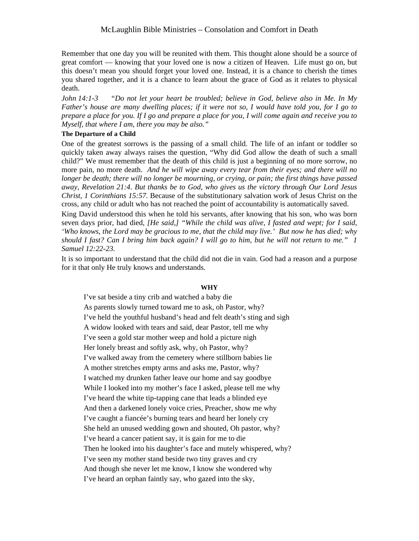#### McLaughlin Bible Ministries – Consolation and Comfort in Death

Remember that one day you will be reunited with them. This thought alone should be a source of great comfort — knowing that your loved one is now a citizen of Heaven. Life must go on, but this doesn't mean you should forget your loved one. Instead, it is a chance to cherish the times you shared together, and it is a chance to learn about the grace of God as it relates to physical death.

*John 14:1-3 "Do not let your heart be troubled; believe in God, believe also in Me. In My* Father's house are many dwelling places; if it were not so, I would have told you, for I go to prepare a place for you. If I go and prepare a place for you, I will come again and receive you to *Myself, that where I am, there you may be also."*

#### **The Departure of a Child**

One of the greatest sorrows is the passing of a small child. The life of an infant or toddler so quickly taken away always raises the question, "Why did God allow the death of such a small child?" We must remember that the death of this child is just a beginning of no more sorrow, no more pain, no more death. *And he will wipe away every tear from their eyes; and there will no longer be death; there will no longer be mourning, or crying, or pain; the first things have passed away, Revelation 21:4*. *But thanks be to God, who gives us the victory through Our Lord Jesus Christ, 1 Corinthians 15:57*. Because of the substitutionary salvation work of Jesus Christ on the cross, any child or adult who has not reached the point of accountability is automatically saved.

King David understood this when he told his servants, after knowing that his son, who was born seven days prior, had died, *[He said,] "While the child was alive, I fasted and wept; for I said,* 'Who knows, the Lord may be gracious to me, that the child may live.' But now he has died; why should I fast? Can I bring him back again? I will go to him, but he will not return to me." 1 *Samuel 12:22-23.*

It is so important to understand that the child did not die in vain. God had a reason and a purpose for it that only He truly knows and understands.

#### **WHY**

I've sat beside a tiny crib and watched a baby die As parents slowly turned toward me to ask, oh Pastor, why? I've held the youthful husband's head and felt death's sting and sigh A widow looked with tears and said, dear Pastor, tell me why I've seen a gold star mother weep and hold a picture nigh Her lonely breast and softly ask, why, oh Pastor, why? I've walked away from the cemetery where stillborn babies lie A mother stretches empty arms and asks me, Pastor, why? I watched my drunken father leave our home and say goodbye While I looked into my mother's face I asked, please tell me why I've heard the white tip-tapping cane that leads a blinded eye And then a darkened lonely voice cries, Preacher, show me why I've caught a fiancée's burning tears and heard her lonely cry She held an unused wedding gown and shouted, Oh pastor, why? I've heard a cancer patient say, it is gain for me to die Then he looked into his daughter's face and mutely whispered, why? I've seen my mother stand beside two tiny graves and cry And though she never let me know, I know she wondered why I've heard an orphan faintly say, who gazed into the sky,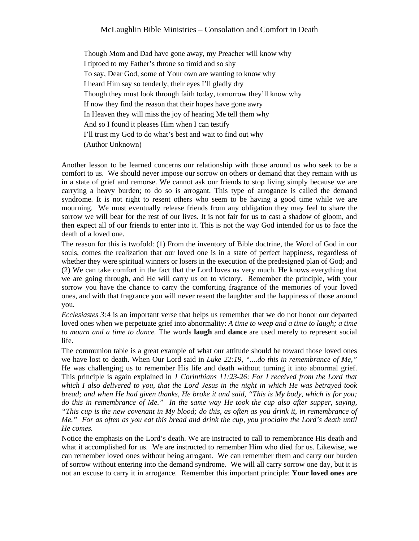Though Mom and Dad have gone away, my Preacher will know why I tiptoed to my Father's throne so timid and so shy To say, Dear God, some of Your own are wanting to know why I heard Him say so tenderly, their eyes I'll gladly dry Though they must look through faith today, tomorrow they'll know why If now they find the reason that their hopes have gone awry In Heaven they will miss the joy of hearing Me tell them why And so I found it pleases Him when I can testify I'll trust my God to do what's best and wait to find out why (Author Unknown)

Another lesson to be learned concerns our relationship with those around us who seek to be a comfort to us. We should never impose our sorrow on others or demand that they remain with us in a state of grief and remorse. We cannot ask our friends to stop living simply because we are carrying a heavy burden; to do so is arrogant. This type of arrogance is called the demand syndrome. It is not right to resent others who seem to be having a good time while we are mourning. We must eventually release friends from any obligation they may feel to share the sorrow we will bear for the rest of our lives. It is not fair for us to cast a shadow of gloom, and then expect all of our friends to enter into it. This is not the way God intended for us to face the death of a loved one.

The reason for this is twofold: (1) From the inventory of Bible doctrine, the Word of God in our souls, comes the realization that our loved one is in a state of perfect happiness, regardless of whether they were spiritual winners or losers in the execution of the predesigned plan of God; and (2) We can take comfort in the fact that the Lord loves us very much. He knows everything that we are going through, and He will carry us on to victory. Remember the principle, with your sorrow you have the chance to carry the comforting fragrance of the memories of your loved ones, and with that fragrance you will never resent the laughter and the happiness of those around you.

*Ecclesiastes 3:4* is an important verse that helps us remember that we do not honor our departed loved ones when we perpetuate grief into abnormality: *A time to weep and a time to laugh; a time to mourn and a time to dance.* The words **laugh** and **dance** are used merely to represent social life.

The communion table is a great example of what our attitude should be toward those loved ones we have lost to death. When Our Lord said in *Luke 22:19*, *"....do this in remembrance of Me,"* He was challenging us to remember His life and death without turning it into abnormal grief. This principle is again explained in *1 Corinthians 11:23-26*: *For I received from the Lord that* which I also delivered to you, that the Lord Jesus in the night in which He was betrayed took bread; and when He had given thanks, He broke it and said, "This is My body, which is for you; *do this in remembrance of Me." In the same way He took the cup also after supper, saying,* "This cup is the new covenant in My blood; do this, as often as you drink it, in remembrance of Me." For as often as you eat this bread and drink the cup, you proclaim the Lord's death until *He comes.* 

Notice the emphasis on the Lord's death. We are instructed to call to remembrance His death and what it accomplished for us. We are instructed to remember Him who died for us. Likewise, we can remember loved ones without being arrogant. We can remember them and carry our burden of sorrow without entering into the demand syndrome. We will all carry sorrow one day, but it is not an excuse to carry it in arrogance. Remember this important principle: **Your loved ones are**